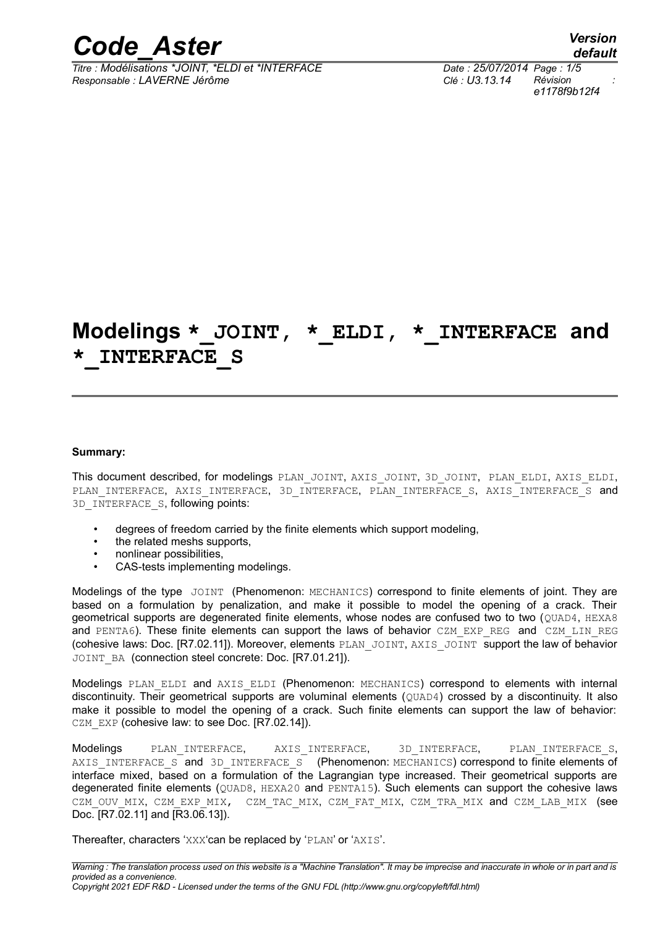

*Titre : Modélisations \*JOINT, \*ELDI et \*INTERFACE Date : 25/07/2014 Page : 1/5 Responsable : LAVERNE Jérôme Clé : U3.13.14 Révision :*

*default e1178f9b12f4*

# **Modelings \*\_JOINT, \*\_ELDI, \*\_INTERFACE and \*\_INTERFACE\_S**

#### **Summary:**

This document described, for modelings PLAN\_JOINT, AXIS\_JOINT, 3D\_JOINT, PLAN\_ELDI, AXIS\_ELDI, PLAN\_INTERFACE, AXIS\_INTERFACE, 3D\_INTERFACE, PLAN\_INTERFACE\_S, AXIS\_INTERFACE\_S and 3D\_INTERFACE\_S, following points:

- degrees of freedom carried by the finite elements which support modeling,
- the related meshs supports,
- nonlinear possibilities,
- CAS-tests implementing modelings.

Modelings of the type JOINT (Phenomenon: MECHANICS) correspond to finite elements of joint. They are based on a formulation by penalization, and make it possible to model the opening of a crack. Their geometrical supports are degenerated finite elements, whose nodes are confused two to two (QUAD4, HEXA8 and PENTA6). These finite elements can support the laws of behavior CZM EXP REG and CZM LIN REG (cohesive laws: Doc. [R7.02.11]). Moreover, elements PLAN\_JOINT, AXIS\_JOINT support the law of behavior JOINT\_BA (connection steel concrete: Doc. [R7.01.21]).

Modelings PLAN ELDI and AXIS ELDI (Phenomenon: MECHANICS) correspond to elements with internal discontinuity. Their geometrical supports are voluminal elements (QUAD4) crossed by a discontinuity. It also make it possible to model the opening of a crack. Such finite elements can support the law of behavior: CZM EXP (cohesive law: to see Doc. [R7.02.14]).

Modelings PLAN\_INTERFACE, AXIS\_INTERFACE, 3D\_INTERFACE, PLAN\_INTERFACE\_S, AXIS INTERFACE S and 3D INTERFACE S (Phenomenon: MECHANICS) correspond to finite elements of interface mixed, based on a formulation of the Lagrangian type increased. Their geometrical supports are degenerated finite elements (QUAD8, HEXA20 and PENTA15). Such elements can support the cohesive laws CZM OUV MIX, CZM EXP\_MIX, CZM\_TAC\_MIX, CZM\_FAT\_MIX, CZM\_TRA\_MIX and CZM\_LAB\_MIX (see Doc. [R7.02.11] and [R3.06.13]).

Thereafter, characters 'XXX'can be replaced by 'PLAN' or 'AXIS'.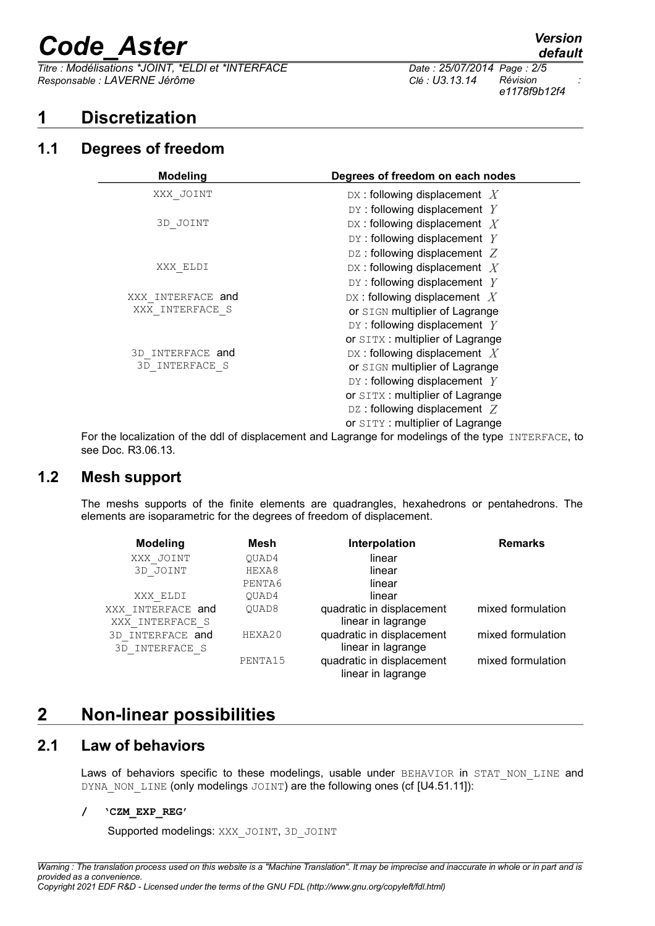# *Code\_Aster Version*

 $\overline{T}$  *Titre : Modélisations \*JOINT, \*ELDI et \*INTERFACE Responsable : LAVERNE Jérôme Clé : U3.13.14 Révision :*

## **1 Discretization**

## **1.1 Degrees of freedom**

| <b>Modeling</b>   | Degrees of freedom on each nodes                                                                 |  |  |
|-------------------|--------------------------------------------------------------------------------------------------|--|--|
| XXX JOINT         | DX: following displacement $X$                                                                   |  |  |
|                   | DY: following displacement $Y$                                                                   |  |  |
| 3D JOINT          | DX: following displacement $X$                                                                   |  |  |
|                   | DY: following displacement $Y$                                                                   |  |  |
|                   | DZ: following displacement $Z$                                                                   |  |  |
| XXX ELDI          | DX: following displacement $X$                                                                   |  |  |
|                   | DY: following displacement $Y$                                                                   |  |  |
| XXX INTERFACE and | DX: following displacement $X$                                                                   |  |  |
| XXX INTERFACE S   | or SIGN multiplier of Lagrange                                                                   |  |  |
|                   | DY: following displacement $Y$                                                                   |  |  |
|                   | or SITX: multiplier of Lagrange                                                                  |  |  |
| 3D INTERFACE and  | DX: following displacement $X$                                                                   |  |  |
| 3D INTERFACE S    | or SIGN multiplier of Lagrange                                                                   |  |  |
|                   | DY: following displacement $Y$                                                                   |  |  |
|                   | or SITX: multiplier of Lagrange                                                                  |  |  |
|                   | DZ: following displacement $Z$                                                                   |  |  |
|                   | or SITY: multiplier of Lagrange                                                                  |  |  |
|                   | a laadi-siisa af tha ddla farlaanaant and Larenea far maadalinaa af tha tuna $\tau$ umpppe op ta |  |  |

For the localization of the ddl of displacement and Lagrange for modelings of the type INTERFACE, to see Doc. R3.06.13.

## **1.2 Mesh support**

The meshs supports of the finite elements are quadrangles, hexahedrons or pentahedrons. The elements are isoparametric for the degrees of freedom of displacement.

| <b>Modeling</b>     | Mesh    | Interpolation             | <b>Remarks</b>    |
|---------------------|---------|---------------------------|-------------------|
| XXX JOINT           | OUAD4   | linear                    |                   |
| 3D JOINT            | HEXA8   | linear                    |                   |
|                     | PENTA6  | linear                    |                   |
| XXX ELDI            | OUAD4   | linear                    |                   |
| XXX INTERFACE and   | OUAD8   | quadratic in displacement | mixed formulation |
| XXX INTERFACE S     |         | linear in lagrange        |                   |
| INTERFACE and<br>3D | HEXA20  | quadratic in displacement | mixed formulation |
| 3D INTERFACE S      |         | linear in lagrange        |                   |
|                     | PENTA15 | quadratic in displacement | mixed formulation |
|                     |         | linear in lagrange        |                   |

## **2 Non-linear possibilities**

## **2.1 Law of behaviors**

Laws of behaviors specific to these modelings, usable under BEHAVIOR in STAT NON LINE and DYNA\_NON\_LINE (only modelings JOINT) are the following ones (cf [U4.51.11]):

## **/ 'CZM\_EXP\_REG'**

Supported modelings: XXX\_JOINT, 3D\_JOINT

*e1178f9b12f4*

*default*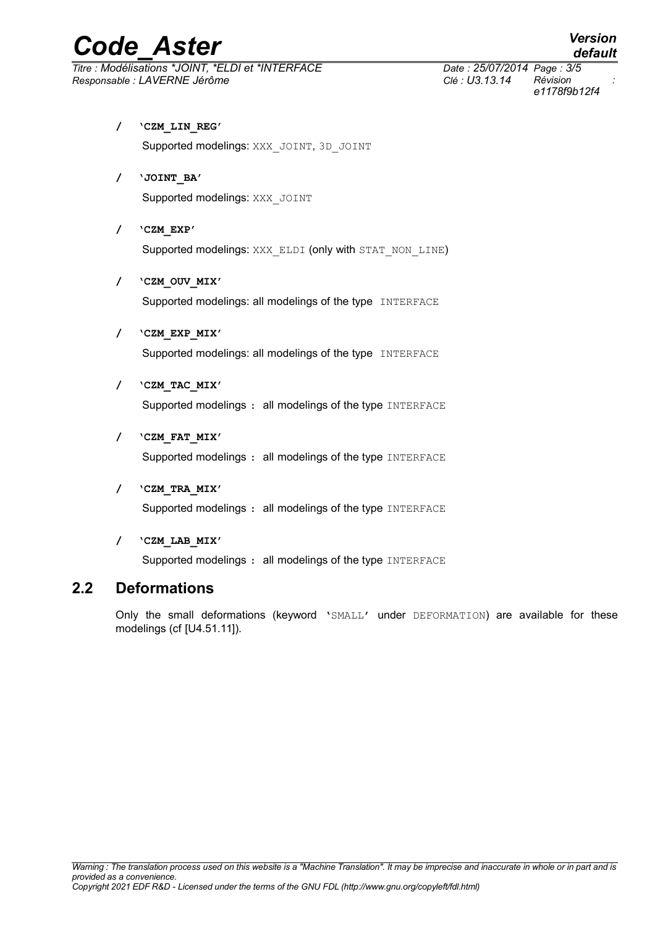# *Code\_Aster Version*

## *Titre : Modélisations \*JOINT, \*ELDI et \*INTERFACE Date : 25/07/2014 Page : 3/5 Responsable : LAVERNE Jérôme Clé : U3.13.14 Révision :*

*e1178f9b12f4*

*default*

**/ 'CZM\_LIN\_REG'**

Supported modelings: XXX\_JOINT, 3D\_JOINT

- **/ 'JOINT\_BA'** Supported modelings: XXX\_JOINT
- **/ 'CZM\_EXP'** Supported modelings: XXX\_ELDI (only with STAT\_NON\_LINE)
- **/ 'CZM\_OUV\_MIX'** Supported modelings: all modelings of the type INTERFACE
- **/ 'CZM\_EXP\_MIX'** Supported modelings: all modelings of the type INTERFACE
- **/ 'CZM\_TAC\_MIX'**

Supported modelings : all modelings of the type INTERFACE

**/ 'CZM\_FAT\_MIX'**

Supported modelings : all modelings of the type INTERFACE

**/ 'CZM\_TRA\_MIX'**

Supported modelings : all modelings of the type INTERFACE

**/ 'CZM\_LAB\_MIX'**

Supported modelings : all modelings of the type INTERFACE

## **2.2 Deformations**

Only the small deformations (keyword 'SMALL' under DEFORMATION) are available for these modelings (cf [U4.51.11]).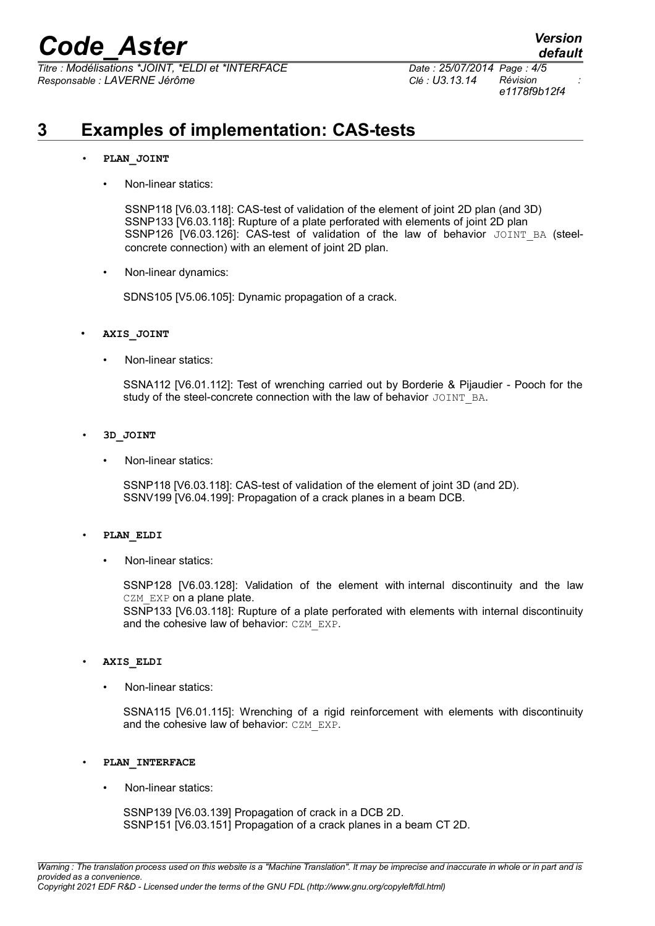*Titre : Modélisations \*JOINT, \*ELDI et \*INTERFACE Date : 25/07/2014 Page : 4/5 Responsable : LAVERNE Jérôme Clé : U3.13.14 Révision :*

*e1178f9b12f4*

*default*

# **3 Examples of implementation: CAS-tests**

### • **PLAN\_JOINT**

• Non-linear statics:

SSNP118 [V6.03.118]: CAS-test of validation of the element of joint 2D plan (and 3D) SSNP133 [V6.03.118]: Rupture of a plate perforated with elements of joint 2D plan SSNP126 [V6.03.126]: CAS-test of validation of the law of behavior JOINT BA (steelconcrete connection) with an element of joint 2D plan.

• Non-linear dynamics:

SDNS105 [V5.06.105]: Dynamic propagation of a crack.

- **AXIS\_JOINT**
	- Non-linear statics:

SSNA112 [V6.01.112]: Test of wrenching carried out by Borderie & Pijaudier - Pooch for the study of the steel-concrete connection with the law of behavior JOINT\_BA.

- **3D\_JOINT**
	- Non-linear statics:

SSNP118 [V6.03.118]: CAS-test of validation of the element of joint 3D (and 2D). SSNV199 [V6.04.199]: Propagation of a crack planes in a beam DCB.

### • **PLAN\_ELDI**

• Non-linear statics:

SSNP128 [V6.03.128]: Validation of the element with internal discontinuity and the law CZM EXP on a plane plate.

SSNP133 [V6.03.118]: Rupture of a plate perforated with elements with internal discontinuity and the cohesive law of behavior: CZM\_EXP.

#### • **AXIS\_ELDI**

• Non-linear statics:

SSNA115 [V6.01.115]: Wrenching of a rigid reinforcement with elements with discontinuity and the cohesive law of behavior: CZM\_EXP.

- **PLAN\_INTERFACE**
	- Non-linear statics:

SSNP139 [V6.03.139] Propagation of crack in a DCB 2D. SSNP151 [V6.03.151] Propagation of a crack planes in a beam CT 2D.